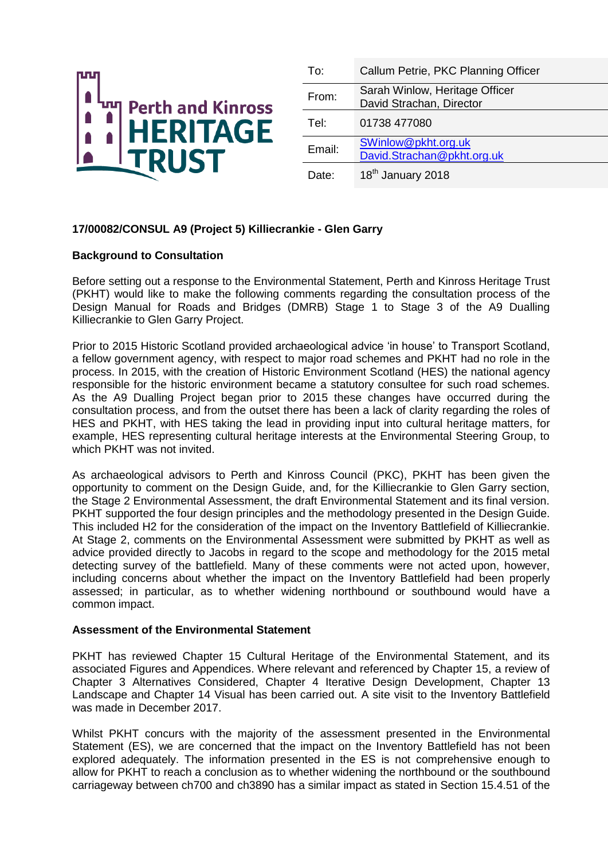

| To:    | Callum Petrie, PKC Planning Officer                        |
|--------|------------------------------------------------------------|
| From:  | Sarah Winlow, Heritage Officer<br>David Strachan, Director |
| Tel:   | 01738 477080                                               |
| Email: | SWinlow@pkht.org.uk<br>David.Strachan@pkht.org.uk          |
| Date:  | 18 <sup>th</sup> January 2018                              |

# **17/00082/CONSUL A9 (Project 5) Killiecrankie - Glen Garry**

## **Background to Consultation**

Before setting out a response to the Environmental Statement, Perth and Kinross Heritage Trust (PKHT) would like to make the following comments regarding the consultation process of the Design Manual for Roads and Bridges (DMRB) Stage 1 to Stage 3 of the A9 Dualling Killiecrankie to Glen Garry Project.

Prior to 2015 Historic Scotland provided archaeological advice 'in house' to Transport Scotland, a fellow government agency, with respect to major road schemes and PKHT had no role in the process. In 2015, with the creation of Historic Environment Scotland (HES) the national agency responsible for the historic environment became a statutory consultee for such road schemes. As the A9 Dualling Project began prior to 2015 these changes have occurred during the consultation process, and from the outset there has been a lack of clarity regarding the roles of HES and PKHT, with HES taking the lead in providing input into cultural heritage matters, for example, HES representing cultural heritage interests at the Environmental Steering Group, to which PKHT was not invited.

As archaeological advisors to Perth and Kinross Council (PKC), PKHT has been given the opportunity to comment on the Design Guide, and, for the Killiecrankie to Glen Garry section, the Stage 2 Environmental Assessment, the draft Environmental Statement and its final version. PKHT supported the four design principles and the methodology presented in the Design Guide. This included H2 for the consideration of the impact on the Inventory Battlefield of Killiecrankie. At Stage 2, comments on the Environmental Assessment were submitted by PKHT as well as advice provided directly to Jacobs in regard to the scope and methodology for the 2015 metal detecting survey of the battlefield. Many of these comments were not acted upon, however, including concerns about whether the impact on the Inventory Battlefield had been properly assessed; in particular, as to whether widening northbound or southbound would have a common impact.

### **Assessment of the Environmental Statement**

PKHT has reviewed Chapter 15 Cultural Heritage of the Environmental Statement, and its associated Figures and Appendices. Where relevant and referenced by Chapter 15, a review of Chapter 3 Alternatives Considered, Chapter 4 Iterative Design Development, Chapter 13 Landscape and Chapter 14 Visual has been carried out. A site visit to the Inventory Battlefield was made in December 2017.

Whilst PKHT concurs with the majority of the assessment presented in the Environmental Statement (ES), we are concerned that the impact on the Inventory Battlefield has not been explored adequately. The information presented in the ES is not comprehensive enough to allow for PKHT to reach a conclusion as to whether widening the northbound or the southbound carriageway between ch700 and ch3890 has a similar impact as stated in Section 15.4.51 of the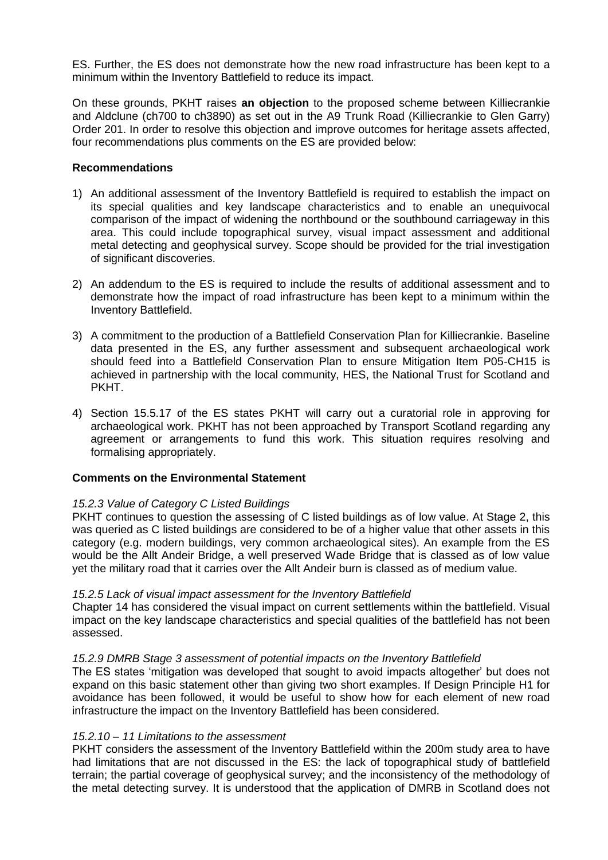ES. Further, the ES does not demonstrate how the new road infrastructure has been kept to a minimum within the Inventory Battlefield to reduce its impact.

On these grounds, PKHT raises **an objection** to the proposed scheme between Killiecrankie and Aldclune (ch700 to ch3890) as set out in the A9 Trunk Road (Killiecrankie to Glen Garry) Order 201. In order to resolve this objection and improve outcomes for heritage assets affected, four recommendations plus comments on the ES are provided below:

# **Recommendations**

- 1) An additional assessment of the Inventory Battlefield is required to establish the impact on its special qualities and key landscape characteristics and to enable an unequivocal comparison of the impact of widening the northbound or the southbound carriageway in this area. This could include topographical survey, visual impact assessment and additional metal detecting and geophysical survey. Scope should be provided for the trial investigation of significant discoveries.
- 2) An addendum to the ES is required to include the results of additional assessment and to demonstrate how the impact of road infrastructure has been kept to a minimum within the Inventory Battlefield.
- 3) A commitment to the production of a Battlefield Conservation Plan for Killiecrankie. Baseline data presented in the ES, any further assessment and subsequent archaeological work should feed into a Battlefield Conservation Plan to ensure Mitigation Item P05-CH15 is achieved in partnership with the local community, HES, the National Trust for Scotland and PKHT.
- 4) Section 15.5.17 of the ES states PKHT will carry out a curatorial role in approving for archaeological work. PKHT has not been approached by Transport Scotland regarding any agreement or arrangements to fund this work. This situation requires resolving and formalising appropriately.

# **Comments on the Environmental Statement**

### *15.2.3 Value of Category C Listed Buildings*

PKHT continues to question the assessing of C listed buildings as of low value. At Stage 2, this was queried as C listed buildings are considered to be of a higher value that other assets in this category (e.g. modern buildings, very common archaeological sites). An example from the ES would be the Allt Andeir Bridge, a well preserved Wade Bridge that is classed as of low value yet the military road that it carries over the Allt Andeir burn is classed as of medium value.

### *15.2.5 Lack of visual impact assessment for the Inventory Battlefield*

Chapter 14 has considered the visual impact on current settlements within the battlefield. Visual impact on the key landscape characteristics and special qualities of the battlefield has not been assessed.

### *15.2.9 DMRB Stage 3 assessment of potential impacts on the Inventory Battlefield*

The ES states 'mitigation was developed that sought to avoid impacts altogether' but does not expand on this basic statement other than giving two short examples. If Design Principle H1 for avoidance has been followed, it would be useful to show how for each element of new road infrastructure the impact on the Inventory Battlefield has been considered.

### *15.2.10 – 11 Limitations to the assessment*

PKHT considers the assessment of the Inventory Battlefield within the 200m study area to have had limitations that are not discussed in the ES: the lack of topographical study of battlefield terrain; the partial coverage of geophysical survey; and the inconsistency of the methodology of the metal detecting survey. It is understood that the application of DMRB in Scotland does not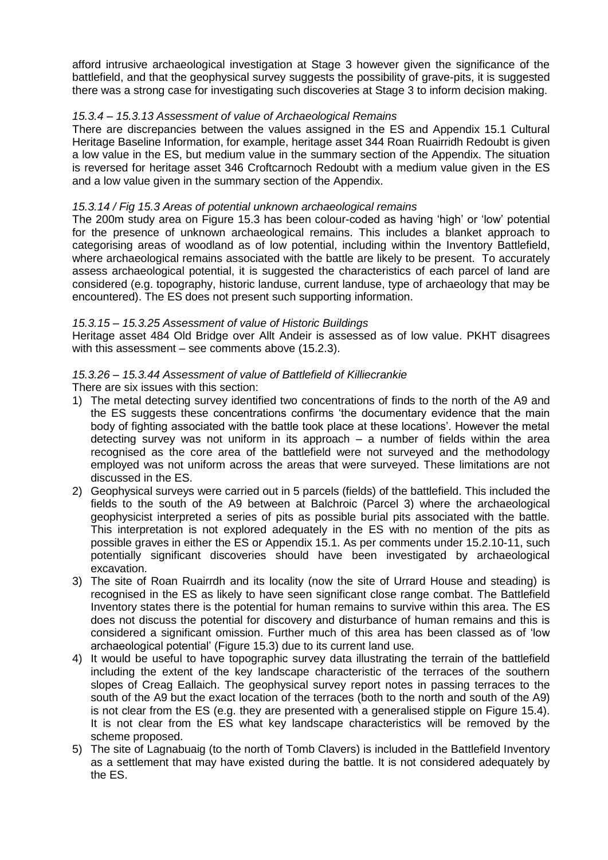afford intrusive archaeological investigation at Stage 3 however given the significance of the battlefield, and that the geophysical survey suggests the possibility of grave-pits, it is suggested there was a strong case for investigating such discoveries at Stage 3 to inform decision making.

# *15.3.4 – 15.3.13 Assessment of value of Archaeological Remains*

There are discrepancies between the values assigned in the ES and Appendix 15.1 Cultural Heritage Baseline Information, for example, heritage asset 344 Roan Ruairridh Redoubt is given a low value in the ES, but medium value in the summary section of the Appendix. The situation is reversed for heritage asset 346 Croftcarnoch Redoubt with a medium value given in the ES and a low value given in the summary section of the Appendix.

## *15.3.14 / Fig 15.3 Areas of potential unknown archaeological remains*

The 200m study area on Figure 15.3 has been colour-coded as having 'high' or 'low' potential for the presence of unknown archaeological remains. This includes a blanket approach to categorising areas of woodland as of low potential, including within the Inventory Battlefield, where archaeological remains associated with the battle are likely to be present. To accurately assess archaeological potential, it is suggested the characteristics of each parcel of land are considered (e.g. topography, historic landuse, current landuse, type of archaeology that may be encountered). The ES does not present such supporting information.

## *15.3.15 – 15.3.25 Assessment of value of Historic Buildings*

Heritage asset 484 Old Bridge over Allt Andeir is assessed as of low value. PKHT disagrees with this assessment – see comments above (15.2.3).

# *15.3.26 – 15.3.44 Assessment of value of Battlefield of Killiecrankie*

There are six issues with this section:

- 1) The metal detecting survey identified two concentrations of finds to the north of the A9 and the ES suggests these concentrations confirms 'the documentary evidence that the main body of fighting associated with the battle took place at these locations'. However the metal detecting survey was not uniform in its approach – a number of fields within the area recognised as the core area of the battlefield were not surveyed and the methodology employed was not uniform across the areas that were surveyed. These limitations are not discussed in the ES.
- 2) Geophysical surveys were carried out in 5 parcels (fields) of the battlefield. This included the fields to the south of the A9 between at Balchroic (Parcel 3) where the archaeological geophysicist interpreted a series of pits as possible burial pits associated with the battle. This interpretation is not explored adequately in the ES with no mention of the pits as possible graves in either the ES or Appendix 15.1. As per comments under 15.2.10-11, such potentially significant discoveries should have been investigated by archaeological excavation.
- 3) The site of Roan Ruairrdh and its locality (now the site of Urrard House and steading) is recognised in the ES as likely to have seen significant close range combat. The Battlefield Inventory states there is the potential for human remains to survive within this area. The ES does not discuss the potential for discovery and disturbance of human remains and this is considered a significant omission. Further much of this area has been classed as of 'low archaeological potential' (Figure 15.3) due to its current land use.
- 4) It would be useful to have topographic survey data illustrating the terrain of the battlefield including the extent of the key landscape characteristic of the terraces of the southern slopes of Creag Eallaich. The geophysical survey report notes in passing terraces to the south of the A9 but the exact location of the terraces (both to the north and south of the A9) is not clear from the ES (e.g. they are presented with a generalised stipple on Figure 15.4). It is not clear from the ES what key landscape characteristics will be removed by the scheme proposed.
- 5) The site of Lagnabuaig (to the north of Tomb Clavers) is included in the Battlefield Inventory as a settlement that may have existed during the battle. It is not considered adequately by the ES.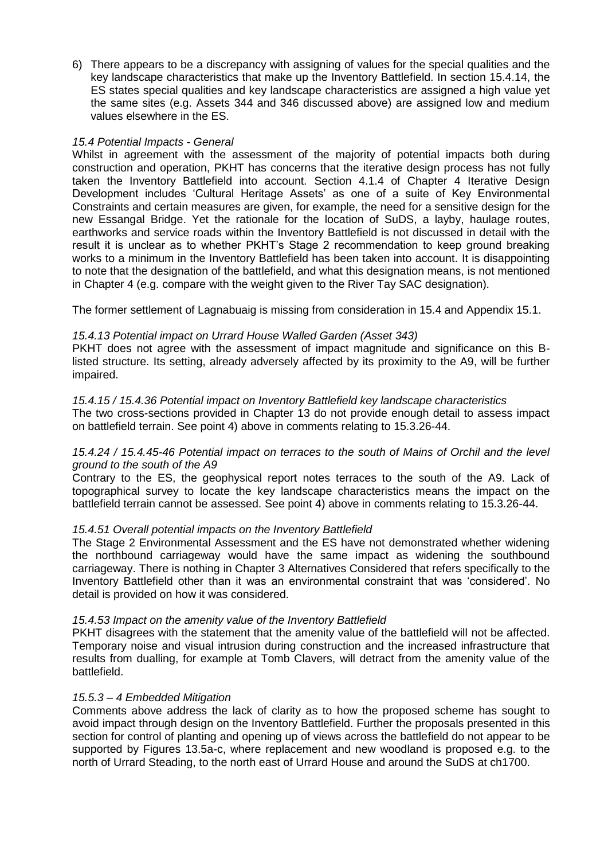6) There appears to be a discrepancy with assigning of values for the special qualities and the key landscape characteristics that make up the Inventory Battlefield. In section 15.4.14, the ES states special qualities and key landscape characteristics are assigned a high value yet the same sites (e.g. Assets 344 and 346 discussed above) are assigned low and medium values elsewhere in the ES.

## *15.4 Potential Impacts - General*

Whilst in agreement with the assessment of the majority of potential impacts both during construction and operation, PKHT has concerns that the iterative design process has not fully taken the Inventory Battlefield into account. Section 4.1.4 of Chapter 4 Iterative Design Development includes 'Cultural Heritage Assets' as one of a suite of Key Environmental Constraints and certain measures are given, for example, the need for a sensitive design for the new Essangal Bridge. Yet the rationale for the location of SuDS, a layby, haulage routes, earthworks and service roads within the Inventory Battlefield is not discussed in detail with the result it is unclear as to whether PKHT's Stage 2 recommendation to keep ground breaking works to a minimum in the Inventory Battlefield has been taken into account. It is disappointing to note that the designation of the battlefield, and what this designation means, is not mentioned in Chapter 4 (e.g. compare with the weight given to the River Tay SAC designation).

The former settlement of Lagnabuaig is missing from consideration in 15.4 and Appendix 15.1.

## *15.4.13 Potential impact on Urrard House Walled Garden (Asset 343)*

PKHT does not agree with the assessment of impact magnitude and significance on this Blisted structure. Its setting, already adversely affected by its proximity to the A9, will be further impaired.

## *15.4.15 / 15.4.36 Potential impact on Inventory Battlefield key landscape characteristics*

The two cross-sections provided in Chapter 13 do not provide enough detail to assess impact on battlefield terrain. See point 4) above in comments relating to 15.3.26-44.

## *15.4.24 / 15.4.45-46 Potential impact on terraces to the south of Mains of Orchil and the level ground to the south of the A9*

Contrary to the ES, the geophysical report notes terraces to the south of the A9. Lack of topographical survey to locate the key landscape characteristics means the impact on the battlefield terrain cannot be assessed. See point 4) above in comments relating to 15.3.26-44.

# *15.4.51 Overall potential impacts on the Inventory Battlefield*

The Stage 2 Environmental Assessment and the ES have not demonstrated whether widening the northbound carriageway would have the same impact as widening the southbound carriageway. There is nothing in Chapter 3 Alternatives Considered that refers specifically to the Inventory Battlefield other than it was an environmental constraint that was 'considered'. No detail is provided on how it was considered.

### *15.4.53 Impact on the amenity value of the Inventory Battlefield*

PKHT disagrees with the statement that the amenity value of the battlefield will not be affected. Temporary noise and visual intrusion during construction and the increased infrastructure that results from dualling, for example at Tomb Clavers, will detract from the amenity value of the battlefield.

### *15.5.3 – 4 Embedded Mitigation*

Comments above address the lack of clarity as to how the proposed scheme has sought to avoid impact through design on the Inventory Battlefield. Further the proposals presented in this section for control of planting and opening up of views across the battlefield do not appear to be supported by Figures 13.5a-c, where replacement and new woodland is proposed e.g. to the north of Urrard Steading, to the north east of Urrard House and around the SuDS at ch1700.